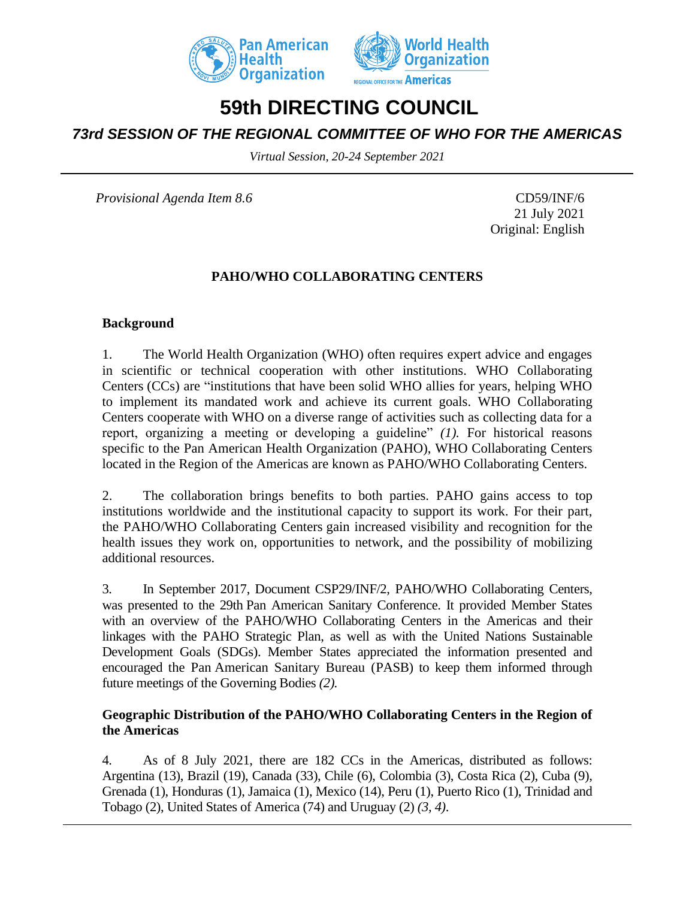



# **59th DIRECTING COUNCIL**

# *73rd SESSION OF THE REGIONAL COMMITTEE OF WHO FOR THE AMERICAS*

*Virtual Session, 20-24 September 2021*

*Provisional Agenda Item 8.6* CD59/INF/6

21 July 2021 Original: English

#### **PAHO/WHO COLLABORATING CENTERS**

#### **Background**

1. The World Health Organization (WHO) often requires expert advice and engages in scientific or technical cooperation with other institutions. WHO Collaborating Centers (CCs) are "institutions that have been solid WHO allies for years, helping WHO to implement its mandated work and achieve its current goals. WHO Collaborating Centers cooperate with WHO on a diverse range of activities such as collecting data for a report, organizing a meeting or developing a guideline" *(1).* For historical reasons specific to the Pan American Health Organization (PAHO), WHO Collaborating Centers located in the Region of the Americas are known as PAHO/WHO Collaborating Centers.

2. The collaboration brings benefits to both parties. PAHO gains access to top institutions worldwide and the institutional capacity to support its work. For their part, the PAHO/WHO Collaborating Centers gain increased visibility and recognition for the health issues they work on, opportunities to network, and the possibility of mobilizing additional resources.

3. In September 2017, Document CSP29/INF/2, PAHO/WHO Collaborating Centers, was presented to the 29th Pan American Sanitary Conference. It provided Member States with an overview of the PAHO/WHO Collaborating Centers in the Americas and their linkages with the PAHO Strategic Plan, as well as with the United Nations Sustainable Development Goals (SDGs). Member States appreciated the information presented and encouraged the Pan American Sanitary Bureau (PASB) to keep them informed through future meetings of the Governing Bodies *(2).*

#### **Geographic Distribution of the PAHO/WHO Collaborating Centers in the Region of the Americas**

4. As of 8 July 2021, there are 182 CCs in the Americas, distributed as follows: Argentina (13), Brazil (19), Canada (33), Chile (6), Colombia (3), Costa Rica (2), Cuba (9), Grenada (1), Honduras (1), Jamaica (1), Mexico (14), Peru (1), Puerto Rico (1), Trinidad and Tobago (2), United States of America (74) and Uruguay (2) *(3, 4)*.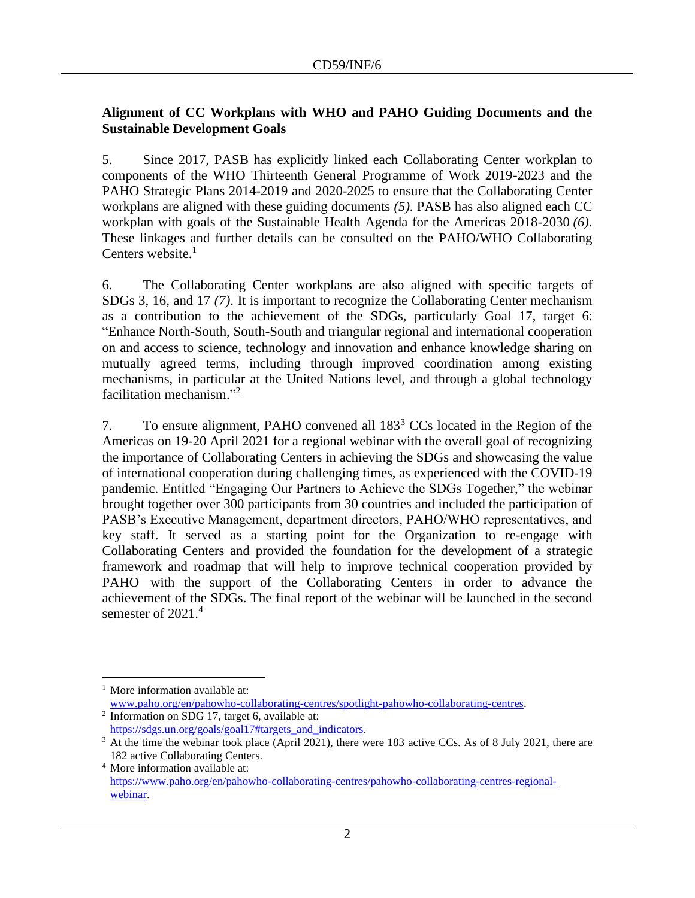### **Alignment of CC Workplans with WHO and PAHO Guiding Documents and the Sustainable Development Goals**

5. Since 2017, PASB has explicitly linked each Collaborating Center workplan to components of the WHO Thirteenth General Programme of Work 2019-2023 and the PAHO Strategic Plans 2014-2019 and 2020-2025 to ensure that the Collaborating Center workplans are aligned with these guiding documents *(5)*. PASB has also aligned each CC workplan with goals of the Sustainable Health Agenda for the Americas 2018-2030 *(6)*. These linkages and further details can be consulted on the PAHO/WHO Collaborating Centers website. $<sup>1</sup>$ </sup>

6. The Collaborating Center workplans are also aligned with specific targets of SDGs 3, 16, and 17 *(7)*. It is important to recognize the Collaborating Center mechanism as a contribution to the achievement of the SDGs, particularly Goal 17, target 6: "Enhance North-South, South-South and triangular regional and international cooperation on and access to science, technology and innovation and enhance knowledge sharing on mutually agreed terms, including through improved coordination among existing mechanisms, in particular at the United Nations level, and through a global technology facilitation mechanism." 2

7. To ensure alignment, PAHO convened all 183<sup>3</sup> CCs located in the Region of the Americas on 19-20 April 2021 for a regional webinar with the overall goal of recognizing the importance of Collaborating Centers in achieving the SDGs and showcasing the value of international cooperation during challenging times, as experienced with the COVID-19 pandemic. Entitled "Engaging Our Partners to Achieve the SDGs Together," the webinar brought together over 300 participants from 30 countries and included the participation of PASB's Executive Management, department directors, PAHO/WHO representatives, and key staff. It served as a starting point for the Organization to re-engage with Collaborating Centers and provided the foundation for the development of a strategic framework and roadmap that will help to improve technical cooperation provided by PAHO—with the support of the Collaborating Centers—in order to advance the achievement of the SDGs. The final report of the webinar will be launched in the second semester of 2021.<sup>4</sup>

More information available at: [www.paho.org/en/pahowho-collaborating-centres/spotlight-pahowho-collaborating-centres.](http://www.paho.org/en/pahowho-collaborating-centres/spotlight-pahowho-collaborating-centres)

<sup>&</sup>lt;sup>2</sup> Information on SDG 17, target 6, available at: [https://sdgs.un.org/goals/goal17#targets\\_and\\_indicators.](https://sdgs.un.org/goals/goal17#targets_and_indicators)

<sup>&</sup>lt;sup>3</sup> At the time the webinar took place (April 2021), there were 183 active CCs. As of 8 July 2021, there are 182 active Collaborating Centers.

<sup>4</sup> More information available at: [https://www.paho.org/en/pahowho-collaborating-centres/pahowho-collaborating-centres-regional](https://www.paho.org/en/pahowho-collaborating-centres/pahowho-collaborating-centres-regional-webinar)[webinar.](https://www.paho.org/en/pahowho-collaborating-centres/pahowho-collaborating-centres-regional-webinar)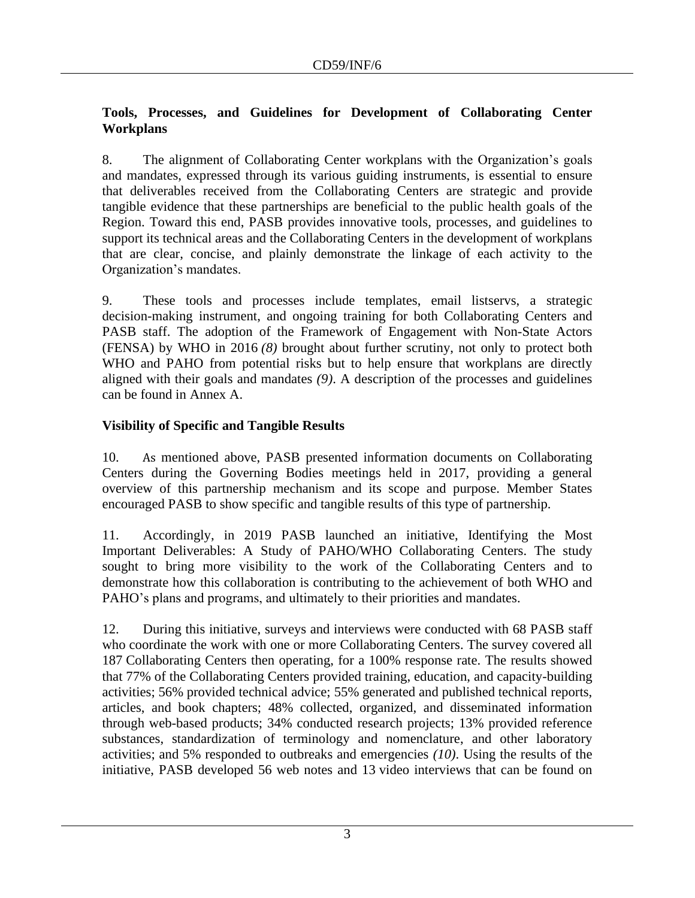### **Tools, Processes, and Guidelines for Development of Collaborating Center Workplans**

8. The alignment of Collaborating Center workplans with the Organization's goals and mandates, expressed through its various guiding instruments, is essential to ensure that deliverables received from the Collaborating Centers are strategic and provide tangible evidence that these partnerships are beneficial to the public health goals of the Region. Toward this end, PASB provides innovative tools, processes, and guidelines to support its technical areas and the Collaborating Centers in the development of workplans that are clear, concise, and plainly demonstrate the linkage of each activity to the Organization's mandates.

9. These tools and processes include templates, email listservs, a strategic decision-making instrument, and ongoing training for both Collaborating Centers and PASB staff. The adoption of the Framework of Engagement with Non-State Actors (FENSA) by WHO in 2016 *(8)* brought about further scrutiny, not only to protect both WHO and PAHO from potential risks but to help ensure that workplans are directly aligned with their goals and mandates *(9)*. A description of the processes and guidelines can be found in Annex A.

# **Visibility of Specific and Tangible Results**

10. As mentioned above, PASB presented information documents on Collaborating Centers during the Governing Bodies meetings held in 2017, providing a general overview of this partnership mechanism and its scope and purpose. Member States encouraged PASB to show specific and tangible results of this type of partnership.

11. Accordingly, in 2019 PASB launched an initiative, Identifying the Most Important Deliverables: A Study of PAHO/WHO Collaborating Centers. The study sought to bring more visibility to the work of the Collaborating Centers and to demonstrate how this collaboration is contributing to the achievement of both WHO and PAHO's plans and programs, and ultimately to their priorities and mandates.

12. During this initiative, surveys and interviews were conducted with 68 PASB staff who coordinate the work with one or more Collaborating Centers. The survey covered all 187 Collaborating Centers then operating, for a 100% response rate. The results showed that 77% of the Collaborating Centers provided training, education, and capacity-building activities; 56% provided technical advice; 55% generated and published technical reports, articles, and book chapters; 48% collected, organized, and disseminated information through web-based products; 34% conducted research projects; 13% provided reference substances, standardization of terminology and nomenclature, and other laboratory activities; and 5% responded to outbreaks and emergencies *(10)*. Using the results of the initiative, PASB developed 56 web notes and 13 video interviews that can be found on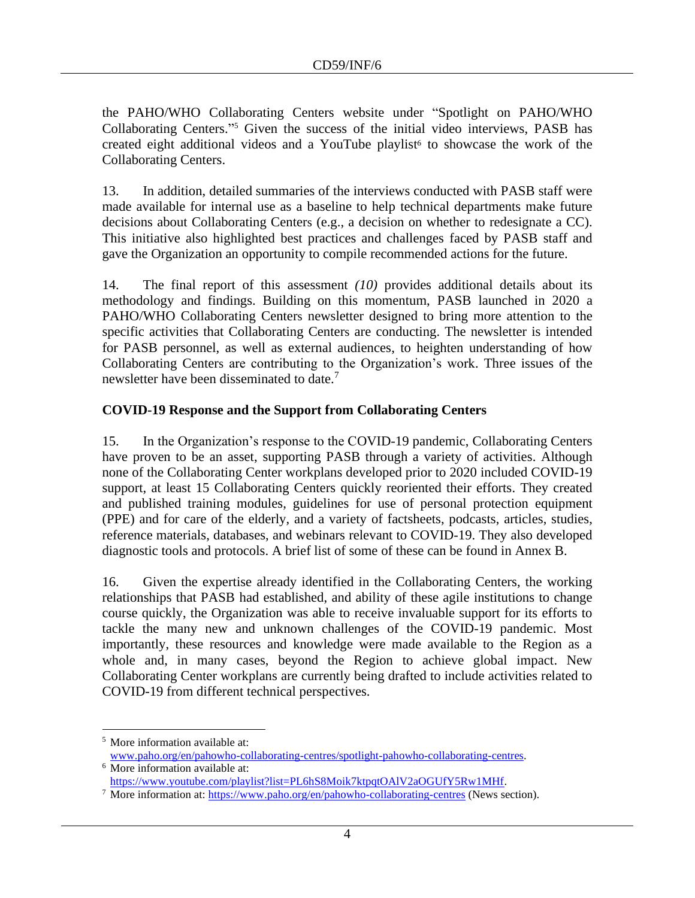the PAHO/WHO Collaborating Centers website under "Spotlight on PAHO/WHO Collaborating Centers." <sup>5</sup> Given the success of the initial video interviews, PASB has created eight additional videos and a YouTube playlist<sup>6</sup> to showcase the work of the Collaborating Centers.

13. In addition, detailed summaries of the interviews conducted with PASB staff were made available for internal use as a baseline to help technical departments make future decisions about Collaborating Centers (e.g., a decision on whether to redesignate a CC). This initiative also highlighted best practices and challenges faced by PASB staff and gave the Organization an opportunity to compile recommended actions for the future.

14. The final report of this assessment *(10)* provides additional details about its methodology and findings. Building on this momentum, PASB launched in 2020 a PAHO/WHO Collaborating Centers newsletter designed to bring more attention to the specific activities that Collaborating Centers are conducting. The newsletter is intended for PASB personnel, as well as external audiences, to heighten understanding of how Collaborating Centers are contributing to the Organization's work. Three issues of the newsletter have been disseminated to date.<sup>7</sup>

### **COVID-19 Response and the Support from Collaborating Centers**

15. In the Organization's response to the COVID-19 pandemic, Collaborating Centers have proven to be an asset, supporting PASB through a variety of activities. Although none of the Collaborating Center workplans developed prior to 2020 included COVID-19 support, at least 15 Collaborating Centers quickly reoriented their efforts. They created and published training modules, guidelines for use of personal protection equipment (PPE) and for care of the elderly, and a variety of factsheets, podcasts, articles, studies, reference materials, databases, and webinars relevant to COVID-19. They also developed diagnostic tools and protocols. A brief list of some of these can be found in Annex B.

16. Given the expertise already identified in the Collaborating Centers, the working relationships that PASB had established, and ability of these agile institutions to change course quickly, the Organization was able to receive invaluable support for its efforts to tackle the many new and unknown challenges of the COVID-19 pandemic. Most importantly, these resources and knowledge were made available to the Region as a whole and, in many cases, beyond the Region to achieve global impact. New Collaborating Center workplans are currently being drafted to include activities related to COVID-19 from different technical perspectives.

<sup>5</sup> More information available at:

[www.paho.org/en/pahowho-collaborating-centres/spotlight-pahowho-collaborating-centres.](http://www.paho.org/en/pahowho-collaborating-centres/spotlight-pahowho-collaborating-centres)

<sup>&</sup>lt;sup>6</sup> More information available at: [https://www.youtube.com/playlist?list=PL6hS8Moik7ktpqtOAlV2aOGUfY5Rw1MHf.](https://www.youtube.com/playlist?list=PL6hS8Moik7ktpqtOAlV2aOGUfY5Rw1MHf)

<sup>&</sup>lt;sup>7</sup> More information at:<https://www.paho.org/en/pahowho-collaborating-centres> (News section).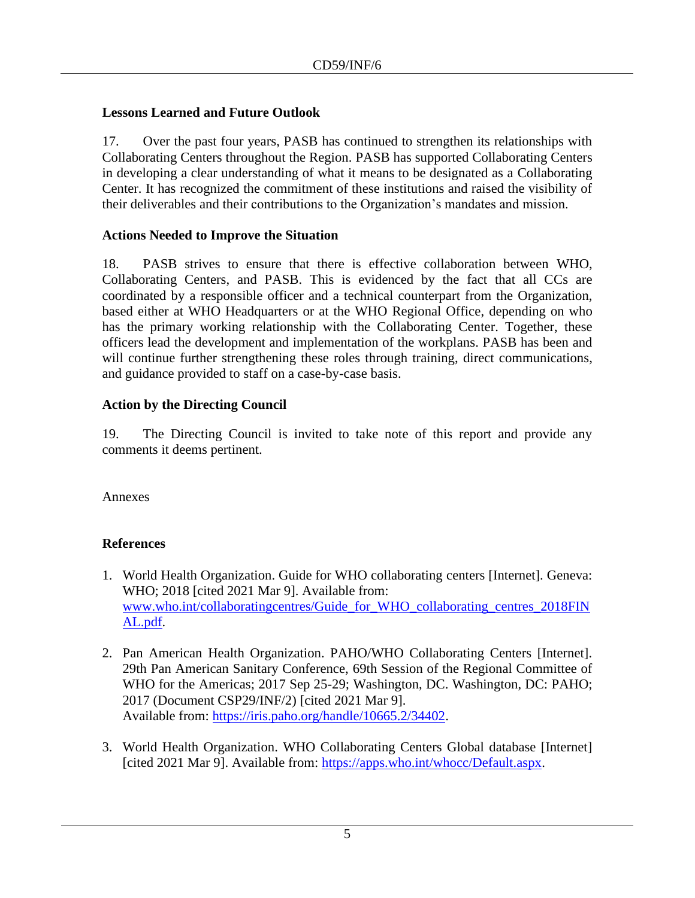#### **Lessons Learned and Future Outlook**

17. Over the past four years, PASB has continued to strengthen its relationships with Collaborating Centers throughout the Region. PASB has supported Collaborating Centers in developing a clear understanding of what it means to be designated as a Collaborating Center. It has recognized the commitment of these institutions and raised the visibility of their deliverables and their contributions to the Organization's mandates and mission.

### **Actions Needed to Improve the Situation**

18. PASB strives to ensure that there is effective collaboration between WHO, Collaborating Centers, and PASB. This is evidenced by the fact that all CCs are coordinated by a responsible officer and a technical counterpart from the Organization, based either at WHO Headquarters or at the WHO Regional Office, depending on who has the primary working relationship with the Collaborating Center. Together, these officers lead the development and implementation of the workplans. PASB has been and will continue further strengthening these roles through training, direct communications, and guidance provided to staff on a case-by-case basis.

### **Action by the Directing Council**

19. The Directing Council is invited to take note of this report and provide any comments it deems pertinent.

Annexes

# **References**

- 1. World Health Organization. Guide for WHO collaborating centers [Internet]. Geneva: WHO; 2018 [cited 2021 Mar 9]. Available from: [www.who.int/collaboratingcentres/Guide\\_for\\_WHO\\_collaborating\\_centres\\_2018FIN](http://www.who.int/collaboratingcentres/Guide_for_WHO_collaborating_centres_2018FINAL.pdf) [AL.pdf.](http://www.who.int/collaboratingcentres/Guide_for_WHO_collaborating_centres_2018FINAL.pdf)
- 2. Pan American Health Organization. PAHO/WHO Collaborating Centers [Internet]. 29th Pan American Sanitary Conference, 69th Session of the Regional Committee of WHO for the Americas; 2017 Sep 25-29; Washington, DC. Washington, DC: PAHO; 2017 (Document CSP29/INF/2) [cited 2021 Mar 9]. Available from: [https://iris.paho.org/handle/10665.2/34402.](https://iris.paho.org/handle/10665.2/34402)
- 3. World Health Organization. WHO Collaborating Centers Global database [Internet] [cited 2021 Mar 9]. Available from: [https://apps.who.int/whocc/Default.aspx.](https://apps.who.int/whocc/Default.aspx)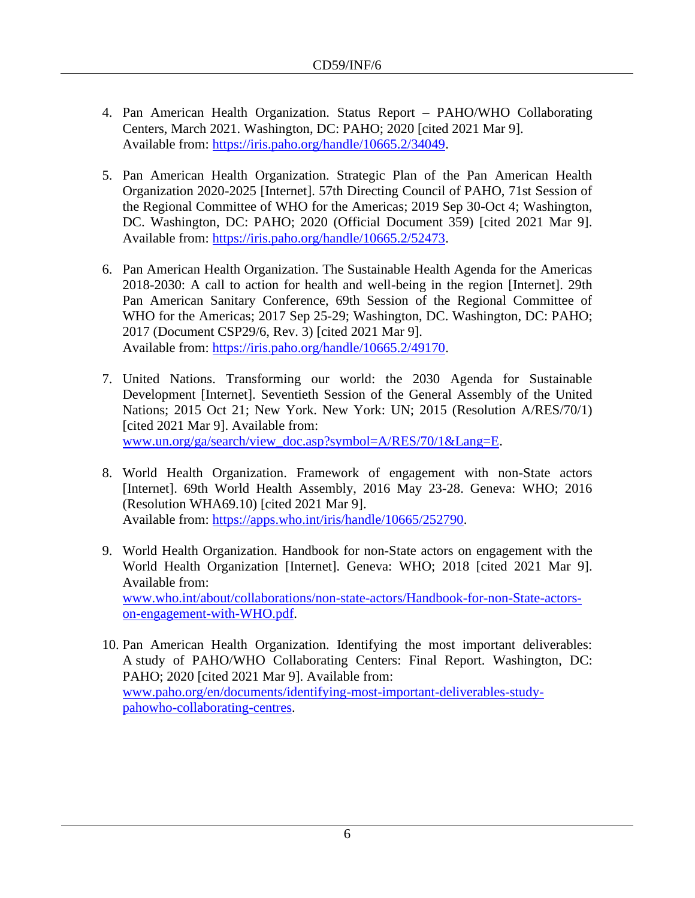- 4. Pan American Health Organization. Status Report PAHO/WHO Collaborating Centers, March 2021. Washington, DC: PAHO; 2020 [cited 2021 Mar 9]. Available from: [https://iris.paho.org/handle/10665.2/34049.](https://iris.paho.org/handle/10665.2/34049)
- 5. Pan American Health Organization. Strategic Plan of the Pan American Health Organization 2020-2025 [Internet]. 57th Directing Council of PAHO, 71st Session of the Regional Committee of WHO for the Americas; 2019 Sep 30-Oct 4; Washington, DC. Washington, DC: PAHO; 2020 (Official Document 359) [cited 2021 Mar 9]. Available from: [https://iris.paho.org/handle/10665.2/52473.](https://iris.paho.org/handle/10665.2/52473)
- 6. Pan American Health Organization. The Sustainable Health Agenda for the Americas 2018-2030: A call to action for health and well-being in the region [Internet]. 29th Pan American Sanitary Conference, 69th Session of the Regional Committee of WHO for the Americas; 2017 Sep 25-29; Washington, DC. Washington, DC: PAHO; 2017 (Document CSP29/6, Rev. 3) [cited 2021 Mar 9]. Available from: [https://iris.paho.org/handle/10665.2/49170.](https://iris.paho.org/handle/10665.2/49170)
- 7. United Nations. Transforming our world: the 2030 Agenda for Sustainable Development [Internet]. Seventieth Session of the General Assembly of the United Nations; 2015 Oct 21; New York. New York: UN; 2015 (Resolution A/RES/70/1) [cited 2021 Mar 9]. Available from: [www.un.org/ga/search/view\\_doc.asp?symbol=A/RES/70/1&Lang=E.](http://www.un.org/ga/search/view_doc.asp?symbol=A/RES/70/1&Lang=E)
- 8. World Health Organization. Framework of engagement with non-State actors [Internet]. 69th World Health Assembly, 2016 May 23-28. Geneva: WHO; 2016 (Resolution WHA69.10) [cited 2021 Mar 9]. Available from: [https://apps.who.int/iris/handle/10665/252790.](https://apps.who.int/iris/handle/10665/252790)
- 9. World Health Organization. Handbook for non-State actors on engagement with the World Health Organization [Internet]. Geneva: WHO; 2018 [cited 2021 Mar 9]. Available from: [www.who.int/about/collaborations/non-state-actors/Handbook-for-non-State-actors](http://www.who.int/about/collaborations/non-state-actors/Handbook-for-non-State-actors-on-engagement-with-WHO.pdf)[on-engagement-with-WHO.pdf.](http://www.who.int/about/collaborations/non-state-actors/Handbook-for-non-State-actors-on-engagement-with-WHO.pdf)
- 10. Pan American Health Organization. Identifying the most important deliverables: A study of PAHO/WHO Collaborating Centers: Final Report. Washington, DC: PAHO; 2020 [cited 2021 Mar 9]. Available from: [www.paho.org/en/documents/identifying-most-important-deliverables-study](http://www.paho.org/en/documents/identifying-most-important-deliverables-study-pahowho-collaborating-centres)[pahowho-collaborating-centres.](http://www.paho.org/en/documents/identifying-most-important-deliverables-study-pahowho-collaborating-centres)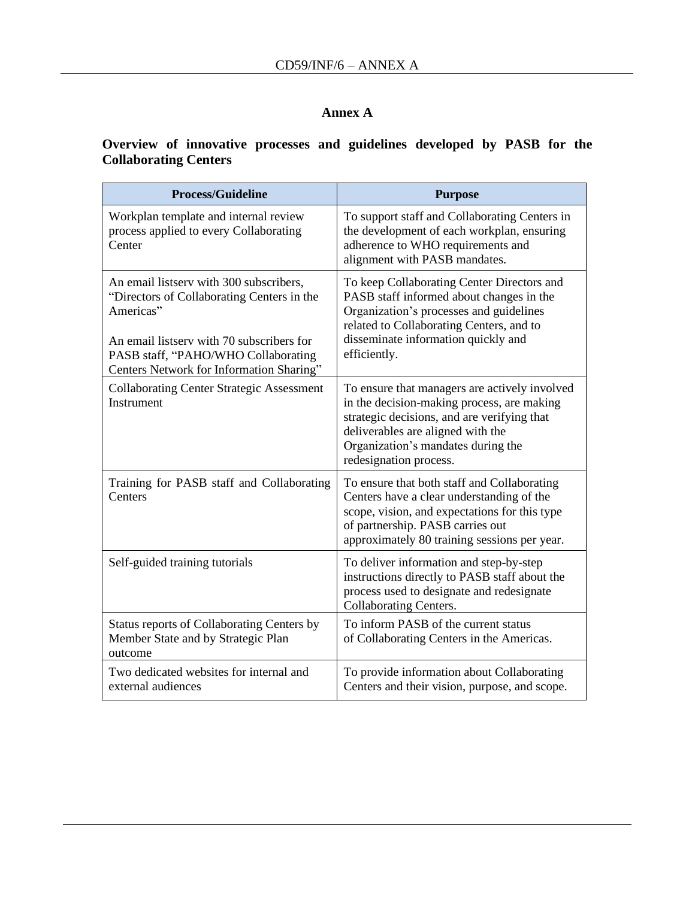# **Annex A**

# **Overview of innovative processes and guidelines developed by PASB for the Collaborating Centers**

| <b>Process/Guideline</b>                                                                                                                                                                                                           | <b>Purpose</b>                                                                                                                                                                                                                                  |
|------------------------------------------------------------------------------------------------------------------------------------------------------------------------------------------------------------------------------------|-------------------------------------------------------------------------------------------------------------------------------------------------------------------------------------------------------------------------------------------------|
| Workplan template and internal review<br>process applied to every Collaborating<br>Center                                                                                                                                          | To support staff and Collaborating Centers in<br>the development of each workplan, ensuring<br>adherence to WHO requirements and<br>alignment with PASB mandates.                                                                               |
| An email listserv with 300 subscribers,<br>"Directors of Collaborating Centers in the<br>Americas"<br>An email listsery with 70 subscribers for<br>PASB staff, "PAHO/WHO Collaborating<br>Centers Network for Information Sharing" | To keep Collaborating Center Directors and<br>PASB staff informed about changes in the<br>Organization's processes and guidelines<br>related to Collaborating Centers, and to<br>disseminate information quickly and<br>efficiently.            |
| <b>Collaborating Center Strategic Assessment</b><br>Instrument                                                                                                                                                                     | To ensure that managers are actively involved<br>in the decision-making process, are making<br>strategic decisions, and are verifying that<br>deliverables are aligned with the<br>Organization's mandates during the<br>redesignation process. |
| Training for PASB staff and Collaborating<br>Centers                                                                                                                                                                               | To ensure that both staff and Collaborating<br>Centers have a clear understanding of the<br>scope, vision, and expectations for this type<br>of partnership. PASB carries out<br>approximately 80 training sessions per year.                   |
| Self-guided training tutorials                                                                                                                                                                                                     | To deliver information and step-by-step<br>instructions directly to PASB staff about the<br>process used to designate and redesignate<br>Collaborating Centers.                                                                                 |
| Status reports of Collaborating Centers by<br>Member State and by Strategic Plan<br>outcome                                                                                                                                        | To inform PASB of the current status<br>of Collaborating Centers in the Americas.                                                                                                                                                               |
| Two dedicated websites for internal and<br>external audiences                                                                                                                                                                      | To provide information about Collaborating<br>Centers and their vision, purpose, and scope.                                                                                                                                                     |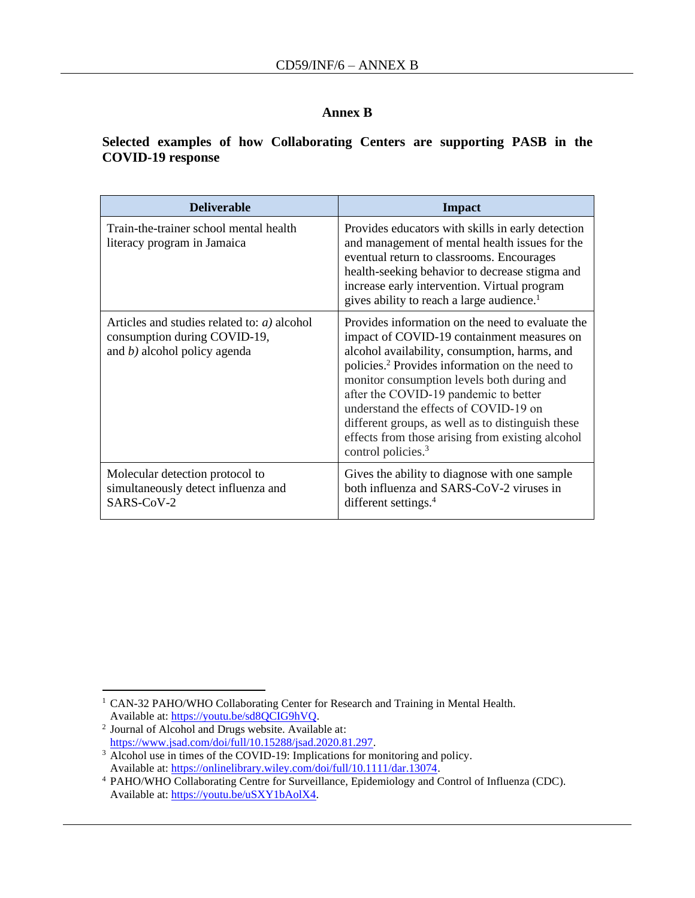#### **Annex B**

#### **Selected examples of how Collaborating Centers are supporting PASB in the COVID-19 response**

| <b>Deliverable</b>                                                                                                | <b>Impact</b>                                                                                                                                                                                                                                                                                                                                                                                                                                                                            |
|-------------------------------------------------------------------------------------------------------------------|------------------------------------------------------------------------------------------------------------------------------------------------------------------------------------------------------------------------------------------------------------------------------------------------------------------------------------------------------------------------------------------------------------------------------------------------------------------------------------------|
| Train-the-trainer school mental health<br>literacy program in Jamaica                                             | Provides educators with skills in early detection<br>and management of mental health issues for the<br>eventual return to classrooms. Encourages<br>health-seeking behavior to decrease stigma and<br>increase early intervention. Virtual program<br>gives ability to reach a large audience. <sup>1</sup>                                                                                                                                                                              |
| Articles and studies related to: $a$ ) alcohol<br>consumption during COVID-19,<br>and $b$ ) alcohol policy agenda | Provides information on the need to evaluate the<br>impact of COVID-19 containment measures on<br>alcohol availability, consumption, harms, and<br>policies. <sup>2</sup> Provides information on the need to<br>monitor consumption levels both during and<br>after the COVID-19 pandemic to better<br>understand the effects of COVID-19 on<br>different groups, as well as to distinguish these<br>effects from those arising from existing alcohol<br>control policies. <sup>3</sup> |
| Molecular detection protocol to<br>simultaneously detect influenza and<br>SARS-CoV-2                              | Gives the ability to diagnose with one sample<br>both influenza and SARS-CoV-2 viruses in<br>different settings. <sup>4</sup>                                                                                                                                                                                                                                                                                                                                                            |

<sup>&</sup>lt;sup>1</sup> CAN-32 PAHO/WHO Collaborating Center for Research and Training in Mental Health. Available at: [https://youtu.be/sd8QCIG9hVQ.](https://youtu.be/sd8QCIG9hVQ)

<sup>2</sup> Journal of Alcohol and Drugs website. Available at: [https://www.jsad.com/doi/full/10.15288/jsad.2020.81.297.](https://www.jsad.com/doi/full/10.15288/jsad.2020.81.297)

<sup>&</sup>lt;sup>3</sup> Alcohol use in times of the COVID-19: Implications for monitoring and policy. Available at: [https://onlinelibrary.wiley.com/doi/full/10.1111/dar.13074.](https://onlinelibrary.wiley.com/doi/full/10.1111/dar.13074)

<sup>4</sup> PAHO/WHO Collaborating Centre for Surveillance, Epidemiology and Control of Influenza (CDC). Available at: [https://youtu.be/uSXY1bAolX4.](https://youtu.be/uSXY1bAolX4)